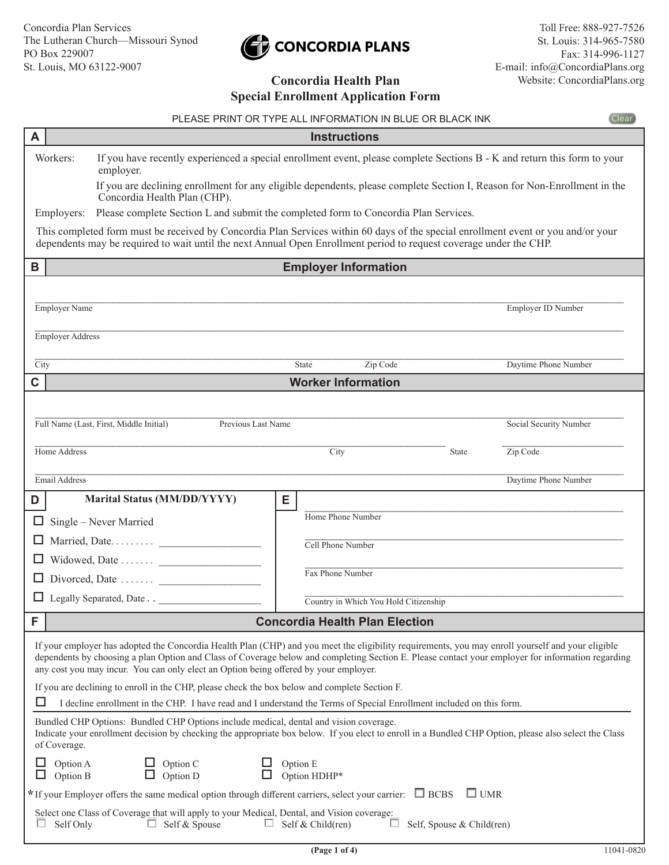# CONCORDIA PLANS

# **Concordia Health Plan Special Enrollment Application Form**

|        | PLEASE PRINT OR TYPE ALL INFORMATION IN BLUE OR BLACK INK                                                                                                                                                                                                                                                                                                                                      |                           |                                       |                           | <b>Clear</b>           |  |  |
|--------|------------------------------------------------------------------------------------------------------------------------------------------------------------------------------------------------------------------------------------------------------------------------------------------------------------------------------------------------------------------------------------------------|---------------------------|---------------------------------------|---------------------------|------------------------|--|--|
| A      | <b>Instructions</b>                                                                                                                                                                                                                                                                                                                                                                            |                           |                                       |                           |                        |  |  |
|        | If you have recently experienced a special enrollment event, please complete Sections B - K and return this form to your<br>Workers:<br>employer.                                                                                                                                                                                                                                              |                           |                                       |                           |                        |  |  |
|        | If you are declining enrollment for any eligible dependents, please complete Section I, Reason for Non-Enrollment in the<br>Concordia Health Plan (CHP).                                                                                                                                                                                                                                       |                           |                                       |                           |                        |  |  |
|        | Please complete Section L and submit the completed form to Concordia Plan Services.<br>Employers:                                                                                                                                                                                                                                                                                              |                           |                                       |                           |                        |  |  |
|        | This completed form must be received by Concordia Plan Services within 60 days of the special enrollment event or you and/or your<br>dependents may be required to wait until the next Annual Open Enrollment period to request coverage under the CHP.                                                                                                                                        |                           |                                       |                           |                        |  |  |
| B      | <b>Employer Information</b>                                                                                                                                                                                                                                                                                                                                                                    |                           |                                       |                           |                        |  |  |
|        |                                                                                                                                                                                                                                                                                                                                                                                                |                           |                                       |                           |                        |  |  |
|        | <b>Employer Name</b>                                                                                                                                                                                                                                                                                                                                                                           |                           |                                       |                           | Employer ID Number     |  |  |
|        | Employer Address                                                                                                                                                                                                                                                                                                                                                                               |                           |                                       |                           |                        |  |  |
| City   |                                                                                                                                                                                                                                                                                                                                                                                                | State                     | Zip Code                              |                           | Daytime Phone Number   |  |  |
| C      |                                                                                                                                                                                                                                                                                                                                                                                                | <b>Worker Information</b> |                                       |                           |                        |  |  |
|        |                                                                                                                                                                                                                                                                                                                                                                                                |                           |                                       |                           |                        |  |  |
|        | Full Name (Last, First, Middle Initial)<br>Previous Last Name                                                                                                                                                                                                                                                                                                                                  |                           |                                       |                           | Social Security Number |  |  |
|        |                                                                                                                                                                                                                                                                                                                                                                                                |                           |                                       |                           |                        |  |  |
|        | Home Address                                                                                                                                                                                                                                                                                                                                                                                   | City                      |                                       | State                     | Zip Code               |  |  |
|        | Email Address                                                                                                                                                                                                                                                                                                                                                                                  |                           |                                       |                           | Daytime Phone Number   |  |  |
| D      | <b>Marital Status (MM/DD/YYYY)</b>                                                                                                                                                                                                                                                                                                                                                             | Е                         |                                       |                           |                        |  |  |
| ш      | Single – Never Married                                                                                                                                                                                                                                                                                                                                                                         | Home Phone Number         |                                       |                           |                        |  |  |
| ப      |                                                                                                                                                                                                                                                                                                                                                                                                | Cell Phone Number         |                                       |                           |                        |  |  |
|        | Widowed, Date                                                                                                                                                                                                                                                                                                                                                                                  | Fax Phone Number          |                                       |                           |                        |  |  |
|        | Divorced, Date                                                                                                                                                                                                                                                                                                                                                                                 |                           |                                       |                           |                        |  |  |
|        | Legally Separated, Date                                                                                                                                                                                                                                                                                                                                                                        |                           | Country in Which You Hold Citizenship |                           |                        |  |  |
| F      |                                                                                                                                                                                                                                                                                                                                                                                                |                           | <b>Concordia Health Plan Election</b> |                           |                        |  |  |
|        | If your employer has adopted the Concordia Health Plan (CHP) and you meet the eligibility requirements, you may enroll yourself and your eligible<br>dependents by choosing a plan Option and Class of Coverage below and completing Section E. Please contact your employer for information regarding<br>any cost you may incur. You can only elect an Option being offered by your employer. |                           |                                       |                           |                        |  |  |
|        | If you are declining to enroll in the CHP, please check the box below and complete Section F.<br>I decline enrollment in the CHP. I have read and I understand the Terms of Special Enrollment included on this form.                                                                                                                                                                          |                           |                                       |                           |                        |  |  |
|        | Bundled CHP Options: Bundled CHP Options include medical, dental and vision coverage.<br>Indicate your enrollment decision by checking the appropriate box below. If you elect to enroll in a Bundled CHP Option, please also select the Class<br>of Coverage.                                                                                                                                 |                           |                                       |                           |                        |  |  |
|        | Option C<br>Option A<br>$\mathop{\mathrm{Option}}\nolimits \mathbf{D}$<br>$\Box$<br>Option B                                                                                                                                                                                                                                                                                                   | Option E<br>Option HDHP*  |                                       |                           |                        |  |  |
|        | $*$ If your Employer offers the same medical option through different carriers, select your carrier: $\Box$ BCBS<br>$\Box$ UMR                                                                                                                                                                                                                                                                 |                           |                                       |                           |                        |  |  |
| $\Box$ | Select one Class of Coverage that will apply to your Medical, Dental, and Vision coverage:<br>$\Box$<br>Self Only<br>Self & Spouse<br>ш.                                                                                                                                                                                                                                                       | Self & Child(ren)         | ப                                     | Self, Spouse & Child(ren) |                        |  |  |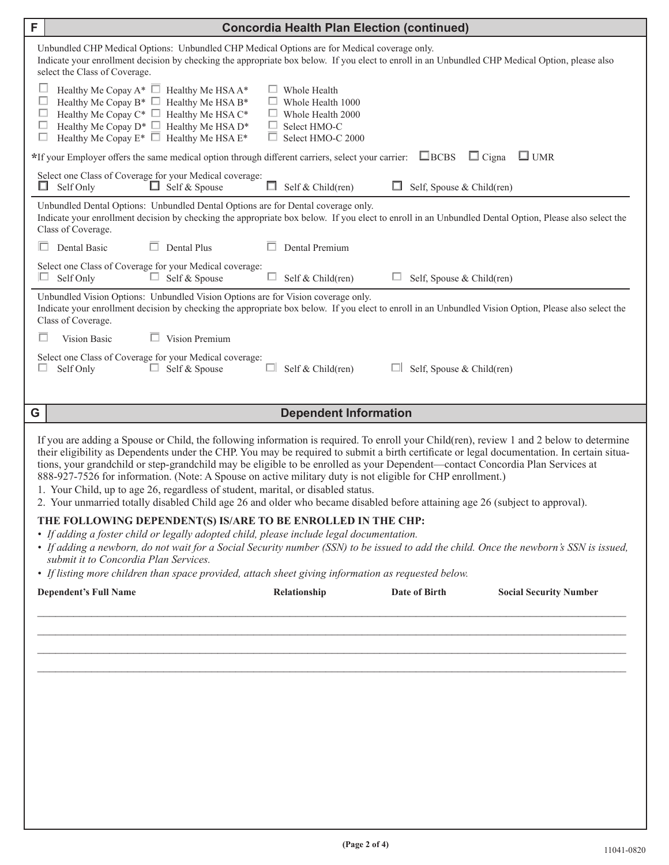| F | <b>Concordia Health Plan Election (continued)</b>                                                                                                                                                                                                                                                                                                                                                                                                                                                                                                                                                                                                                                                                                                         |  |  |  |  |  |
|---|-----------------------------------------------------------------------------------------------------------------------------------------------------------------------------------------------------------------------------------------------------------------------------------------------------------------------------------------------------------------------------------------------------------------------------------------------------------------------------------------------------------------------------------------------------------------------------------------------------------------------------------------------------------------------------------------------------------------------------------------------------------|--|--|--|--|--|
|   | Unbundled CHP Medical Options: Unbundled CHP Medical Options are for Medical coverage only.<br>Indicate your enrollment decision by checking the appropriate box below. If you elect to enroll in an Unbundled CHP Medical Option, please also<br>select the Class of Coverage.                                                                                                                                                                                                                                                                                                                                                                                                                                                                           |  |  |  |  |  |
|   | ш<br>Healthy Me Copay $A^*$ $\Box$ Healthy Me HSA $A^*$<br>$\Box$ Whole Health<br>Е<br>Healthy Me Copay B* $\Box$ Healthy Me HSA B*<br>Whole Health 1000<br>ப<br>Healthy Me Copay $C^*$ $\Box$ Healthy Me HSA $C^*$<br>□<br>Whole Health 2000<br>Healthy Me Copay $D^*$ $\Box$ Healthy Me HSA $D^*$<br>⊏<br>ப<br>Select HMO-C<br>Healthy Me Copay $E^*$ $\Box$ Healthy Me HSA $E^*$<br>$\Box$<br>ш<br>Select HMO-C 2000                                                                                                                                                                                                                                                                                                                                   |  |  |  |  |  |
|   | *If your Employer offers the same medical option through different carriers, select your carrier: EBCBS<br>$\Box$ Cigna<br>$\Box$ UMR                                                                                                                                                                                                                                                                                                                                                                                                                                                                                                                                                                                                                     |  |  |  |  |  |
|   | Select one Class of Coverage for your Medical coverage:<br>Self Only<br>$\Box$ Self & Spouse<br>Ш.<br>Self & Child(ren)<br>Self, Spouse & Child(ren)<br>ப<br>ш.                                                                                                                                                                                                                                                                                                                                                                                                                                                                                                                                                                                           |  |  |  |  |  |
|   | Unbundled Dental Options: Unbundled Dental Options are for Dental coverage only.<br>Indicate your enrollment decision by checking the appropriate box below. If you elect to enroll in an Unbundled Dental Option, Please also select the<br>Class of Coverage.                                                                                                                                                                                                                                                                                                                                                                                                                                                                                           |  |  |  |  |  |
|   | Dental Basic<br>Dental Plus<br>Dental Premium                                                                                                                                                                                                                                                                                                                                                                                                                                                                                                                                                                                                                                                                                                             |  |  |  |  |  |
|   | Select one Class of Coverage for your Medical coverage:<br>Self Only<br>$\Box$ Self & Spouse<br>$\Box$<br>Self & Child(ren)<br>ப<br>Self, Spouse & Child(ren)                                                                                                                                                                                                                                                                                                                                                                                                                                                                                                                                                                                             |  |  |  |  |  |
|   | Unbundled Vision Options: Unbundled Vision Options are for Vision coverage only.<br>Indicate your enrollment decision by checking the appropriate box below. If you elect to enroll in an Unbundled Vision Option, Please also select the<br>Class of Coverage.                                                                                                                                                                                                                                                                                                                                                                                                                                                                                           |  |  |  |  |  |
|   | Vision Premium<br>Vision Basic                                                                                                                                                                                                                                                                                                                                                                                                                                                                                                                                                                                                                                                                                                                            |  |  |  |  |  |
|   | Select one Class of Coverage for your Medical coverage:<br>Self & Spouse<br>ш<br>Self Only<br>ш.<br>Self & Child(ren)<br>Self, Spouse & Child(ren)                                                                                                                                                                                                                                                                                                                                                                                                                                                                                                                                                                                                        |  |  |  |  |  |
| G | <b>Dependent Information</b>                                                                                                                                                                                                                                                                                                                                                                                                                                                                                                                                                                                                                                                                                                                              |  |  |  |  |  |
|   | If you are adding a Spouse or Child, the following information is required. To enroll your Child(ren), review 1 and 2 below to determine<br>their eligibility as Dependents under the CHP. You may be required to submit a birth certificate or legal documentation. In certain situa-<br>tions, your grandchild or step-grandchild may be eligible to be enrolled as your Dependent—contact Concordia Plan Services at<br>888-927-7526 for information. (Note: A Spouse on active military duty is not eligible for CHP enrollment.)<br>1. Your Child, up to age 26, regardless of student, marital, or disabled status.<br>2. Your unmarried totally disabled Child age 26 and older who became disabled before attaining age 26 (subject to approval). |  |  |  |  |  |
|   | THE FOLLOWING DEPENDENT(S) IS/ARE TO BE ENROLLED IN THE CHP:<br>• If adding a foster child or legally adopted child, please include legal documentation.<br>• If adding a newborn, do not wait for a Social Security number (SSN) to be issued to add the child. Once the newborn's SSN is issued,<br>submit it to Concordia Plan Services.<br>• If listing more children than space provided, attach sheet giving information as requested below.                                                                                                                                                                                                                                                                                                        |  |  |  |  |  |
|   | Date of Birth<br><b>Social Security Number</b><br><b>Dependent's Full Name</b><br>Relationship                                                                                                                                                                                                                                                                                                                                                                                                                                                                                                                                                                                                                                                            |  |  |  |  |  |
|   |                                                                                                                                                                                                                                                                                                                                                                                                                                                                                                                                                                                                                                                                                                                                                           |  |  |  |  |  |
|   |                                                                                                                                                                                                                                                                                                                                                                                                                                                                                                                                                                                                                                                                                                                                                           |  |  |  |  |  |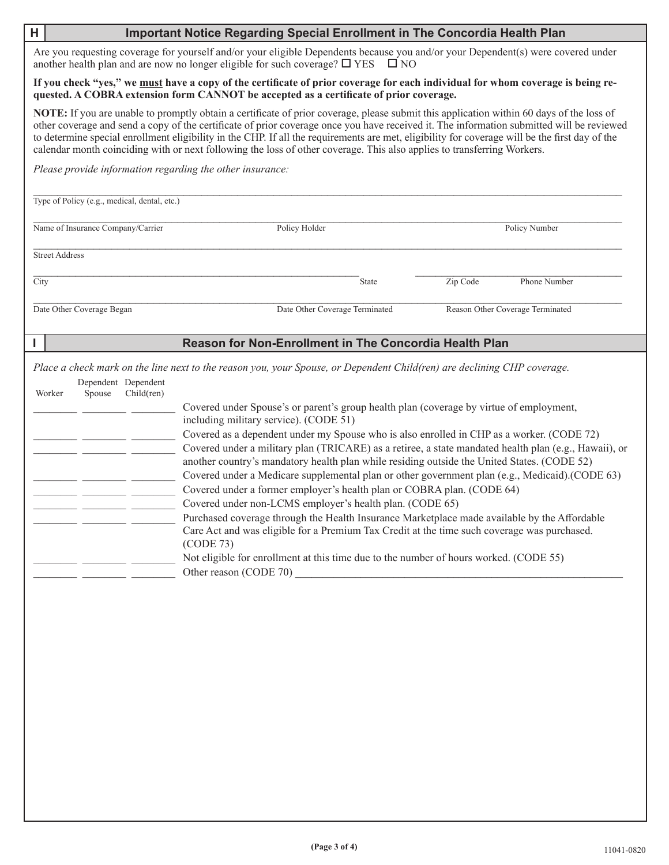| Н                                                                                                                                                                                                                                       | Important Notice Regarding Special Enrollment in The Concordia Health Plan                                                                                                                                                                                                                                                                                                                                                                                                                                                                                                                                                                                                                                                                                                                                                                                                                                                                                                                                                                                                                                                               |                                  |  |  |  |  |
|-----------------------------------------------------------------------------------------------------------------------------------------------------------------------------------------------------------------------------------------|------------------------------------------------------------------------------------------------------------------------------------------------------------------------------------------------------------------------------------------------------------------------------------------------------------------------------------------------------------------------------------------------------------------------------------------------------------------------------------------------------------------------------------------------------------------------------------------------------------------------------------------------------------------------------------------------------------------------------------------------------------------------------------------------------------------------------------------------------------------------------------------------------------------------------------------------------------------------------------------------------------------------------------------------------------------------------------------------------------------------------------------|----------------------------------|--|--|--|--|
| Are you requesting coverage for yourself and/or your eligible Dependents because you and/or your Dependent(s) were covered under<br>another health plan and are now no longer eligible for such coverage? $\square$ YES<br>$\square$ NO |                                                                                                                                                                                                                                                                                                                                                                                                                                                                                                                                                                                                                                                                                                                                                                                                                                                                                                                                                                                                                                                                                                                                          |                                  |  |  |  |  |
|                                                                                                                                                                                                                                         | If you check "yes," we must have a copy of the certificate of prior coverage for each individual for whom coverage is being re-<br>quested. A COBRA extension form CANNOT be accepted as a certificate of prior coverage.                                                                                                                                                                                                                                                                                                                                                                                                                                                                                                                                                                                                                                                                                                                                                                                                                                                                                                                |                                  |  |  |  |  |
|                                                                                                                                                                                                                                         | NOTE: If you are unable to promptly obtain a certificate of prior coverage, please submit this application within 60 days of the loss of<br>other coverage and send a copy of the certificate of prior coverage once you have received it. The information submitted will be reviewed<br>to determine special enrollment eligibility in the CHP. If all the requirements are met, eligibility for coverage will be the first day of the<br>calendar month coinciding with or next following the loss of other coverage. This also applies to transferring Workers.                                                                                                                                                                                                                                                                                                                                                                                                                                                                                                                                                                       |                                  |  |  |  |  |
| Please provide information regarding the other insurance:<br>Type of Policy (e.g., medical, dental, etc.)                                                                                                                               |                                                                                                                                                                                                                                                                                                                                                                                                                                                                                                                                                                                                                                                                                                                                                                                                                                                                                                                                                                                                                                                                                                                                          |                                  |  |  |  |  |
|                                                                                                                                                                                                                                         |                                                                                                                                                                                                                                                                                                                                                                                                                                                                                                                                                                                                                                                                                                                                                                                                                                                                                                                                                                                                                                                                                                                                          |                                  |  |  |  |  |
| Name of Insurance Company/Carrier                                                                                                                                                                                                       | Policy Holder                                                                                                                                                                                                                                                                                                                                                                                                                                                                                                                                                                                                                                                                                                                                                                                                                                                                                                                                                                                                                                                                                                                            | <b>Policy Number</b>             |  |  |  |  |
| <b>Street Address</b>                                                                                                                                                                                                                   |                                                                                                                                                                                                                                                                                                                                                                                                                                                                                                                                                                                                                                                                                                                                                                                                                                                                                                                                                                                                                                                                                                                                          |                                  |  |  |  |  |
| City                                                                                                                                                                                                                                    | State                                                                                                                                                                                                                                                                                                                                                                                                                                                                                                                                                                                                                                                                                                                                                                                                                                                                                                                                                                                                                                                                                                                                    | Zip Code<br>Phone Number         |  |  |  |  |
| Date Other Coverage Began                                                                                                                                                                                                               | Date Other Coverage Terminated                                                                                                                                                                                                                                                                                                                                                                                                                                                                                                                                                                                                                                                                                                                                                                                                                                                                                                                                                                                                                                                                                                           | Reason Other Coverage Terminated |  |  |  |  |
|                                                                                                                                                                                                                                         | Reason for Non-Enrollment in The Concordia Health Plan                                                                                                                                                                                                                                                                                                                                                                                                                                                                                                                                                                                                                                                                                                                                                                                                                                                                                                                                                                                                                                                                                   |                                  |  |  |  |  |
| Dependent Dependent<br>Child(ren)<br>Worker<br>Spouse<br>___ __________ _________                                                                                                                                                       | Place a check mark on the line next to the reason you, your Spouse, or Dependent Child(ren) are declining CHP coverage.<br>Covered under Spouse's or parent's group health plan (coverage by virtue of employment,<br>including military service). (CODE 51)<br>Covered as a dependent under my Spouse who is also enrolled in CHP as a worker. (CODE 72)<br>Covered under a military plan (TRICARE) as a retiree, a state mandated health plan (e.g., Hawaii), or<br>another country's mandatory health plan while residing outside the United States. (CODE 52)<br>Covered under a Medicare supplemental plan or other government plan (e.g., Medicaid).(CODE 63)<br>Covered under a former employer's health plan or COBRA plan. (CODE 64)<br>Covered under non-LCMS employer's health plan. (CODE 65)<br>Purchased coverage through the Health Insurance Marketplace made available by the Affordable<br>Care Act and was eligible for a Premium Tax Credit at the time such coverage was purchased.<br>(CODE 73)<br>Not eligible for enrollment at this time due to the number of hours worked. (CODE 55)<br>Other reason (CODE 70) |                                  |  |  |  |  |